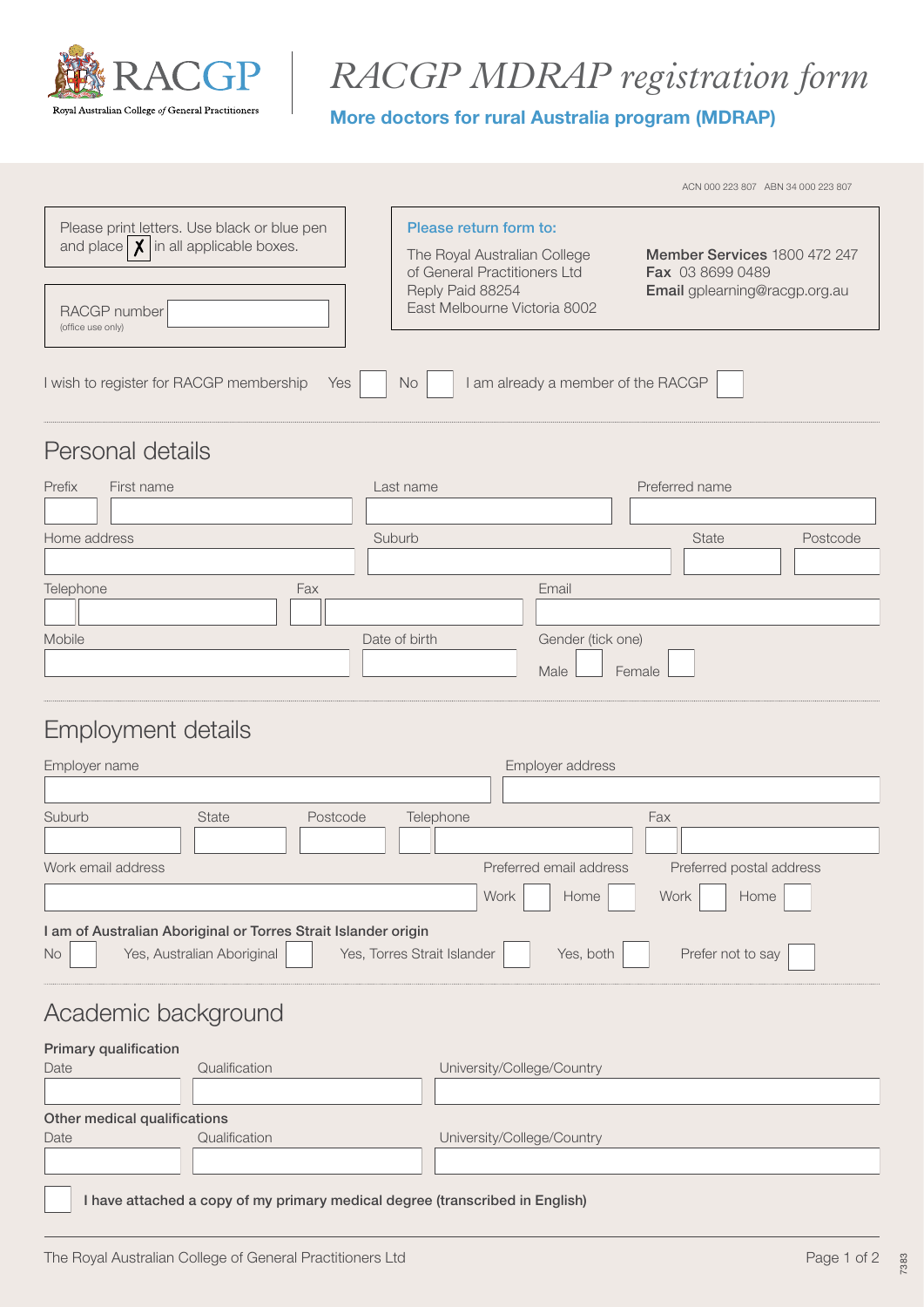

# *RACGP MDRAP registration form*

#### More doctors for rural Australia program (MDRAP)

|                                                                                                                                           |                                                                                                                                            |                                    |                                                                                   | ACN 000 223 807 ABN 34 000 223 807 |
|-------------------------------------------------------------------------------------------------------------------------------------------|--------------------------------------------------------------------------------------------------------------------------------------------|------------------------------------|-----------------------------------------------------------------------------------|------------------------------------|
| Please print letters. Use black or blue pen<br>and place $\vert \chi \vert$ in all applicable boxes.<br>RACGP number<br>(office use only) | Please return form to:<br>The Royal Australian College<br>of General Practitioners Ltd<br>Reply Paid 88254<br>East Melbourne Victoria 8002 |                                    | Member Services 1800 472 247<br>Fax 03 8699 0489<br>Email gplearning@racgp.org.au |                                    |
| I wish to register for RACGP membership                                                                                                   | <b>No</b><br>Yes                                                                                                                           | I am already a member of the RACGP |                                                                                   |                                    |
| Personal details                                                                                                                          |                                                                                                                                            |                                    |                                                                                   |                                    |
| Prefix<br>First name                                                                                                                      | Last name                                                                                                                                  |                                    | Preferred name                                                                    |                                    |
|                                                                                                                                           |                                                                                                                                            |                                    |                                                                                   |                                    |
| Home address                                                                                                                              | Suburb                                                                                                                                     |                                    | State                                                                             | Postcode                           |
|                                                                                                                                           |                                                                                                                                            |                                    |                                                                                   |                                    |
| Telephone<br>Fax                                                                                                                          |                                                                                                                                            | Email                              |                                                                                   |                                    |
|                                                                                                                                           |                                                                                                                                            |                                    |                                                                                   |                                    |
| Mobile                                                                                                                                    | Date of birth                                                                                                                              | Gender (tick one)                  |                                                                                   |                                    |
|                                                                                                                                           |                                                                                                                                            | Male<br>Female                     |                                                                                   |                                    |
| Employment details                                                                                                                        |                                                                                                                                            |                                    |                                                                                   |                                    |
| Emnlover name                                                                                                                             |                                                                                                                                            | Employer address                   |                                                                                   |                                    |

| <b>State</b>                                                                                                                                                               | Postcode | Telephone |      | Fax                                                 |  |
|----------------------------------------------------------------------------------------------------------------------------------------------------------------------------|----------|-----------|------|-----------------------------------------------------|--|
|                                                                                                                                                                            |          |           |      | Preferred postal address                            |  |
|                                                                                                                                                                            |          |           | Home | Work<br>Home                                        |  |
| I am of Australian Aboriginal or Torres Strait Islander origin<br>Yes, Australian Aboriginal<br>Yes, Torres Strait Islander<br>Prefer not to say<br><b>No</b><br>Yes, both |          |           |      |                                                     |  |
|                                                                                                                                                                            |          |           |      | Employer address<br>Preferred email address<br>Work |  |

# Academic background

| <b>Primary qualification</b> |                                                                              |                            |
|------------------------------|------------------------------------------------------------------------------|----------------------------|
| Date                         | Qualification                                                                | University/College/Country |
|                              |                                                                              |                            |
| Other medical qualifications |                                                                              |                            |
| Date                         | Qualification                                                                | University/College/Country |
|                              |                                                                              |                            |
|                              | I have attached a copy of my primary medical degree (transcribed in English) |                            |